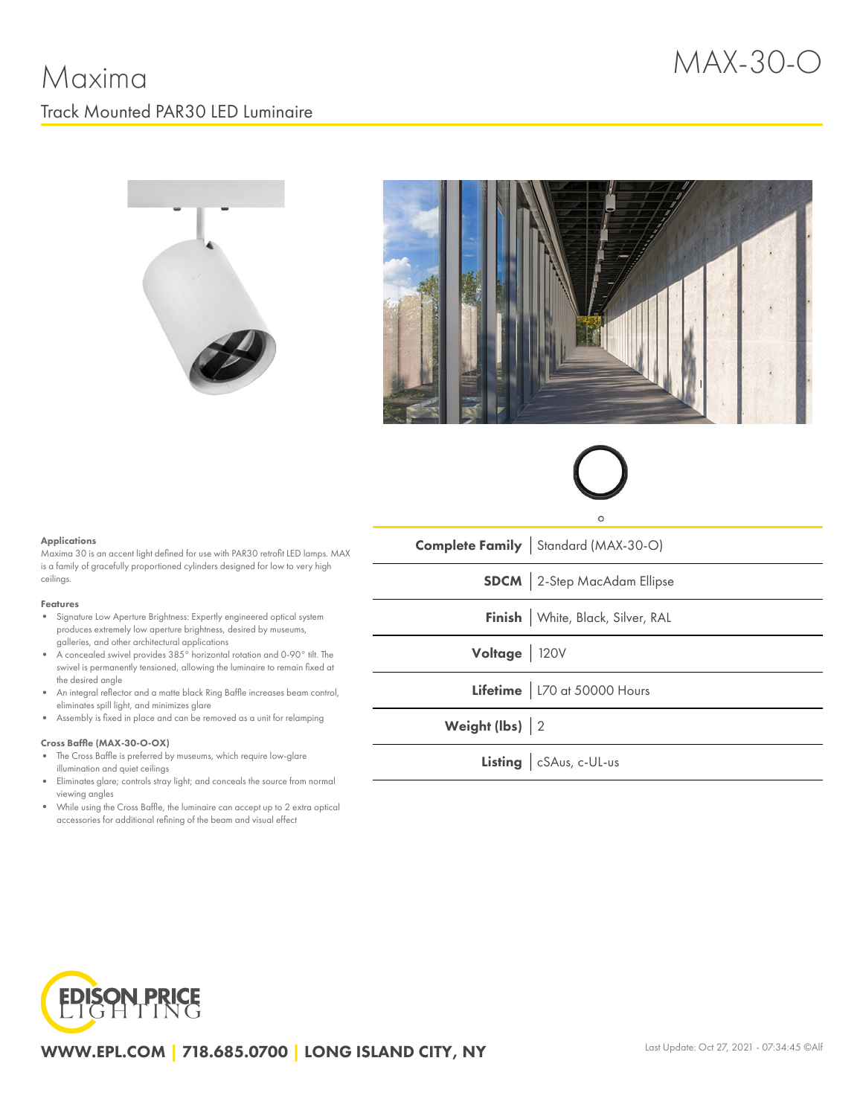





### **Applications**

Maxima 30 is an accent light defined for use with PAR30 retrofit LED lamps. MAX is a family of gracefully proportioned cylinders designed for low to very high ceilings.

#### Features

- Signature Low Aperture Brightness: Expertly engineered optical system produces extremely low aperture brightness, desired by museums, galleries, and other architectural applications
- $\bullet$ A concealed swivel provides 385° horizontal rotation and 0-90° tilt. The swivel is permanently tensioned, allowing the luminaire to remain fixed at the desired angle
- An integral reflector and a matte black Ring Baffle increases beam control, eliminates spill light, and minimizes glare
- Assembly is fixed in place and can be removed as a unit for relamping

### Cross Baffle (MAX-30-O-OX)

- The Cross Baffle is preferred by museums, which require low-glare illumination and quiet ceilings
- Eliminates glare; controls stray light; and conceals the source from normal viewing angles
- While using the Cross Baffle, the luminaire can accept up to 2 extra optical accessories for additional refining of the beam and visual effect

| <b>Complete Family</b> Standard (MAX-30-O) |
|--------------------------------------------|
| <b>SDCM</b> 2-Step MacAdam Ellipse         |
| Finish   White, Black, Silver, RAL         |
| Voltage 120V                               |
| Lifetime   L70 at 50000 Hours              |
| Weight (lbs) 2                             |
| Listing   cSAus, c-UL-us                   |